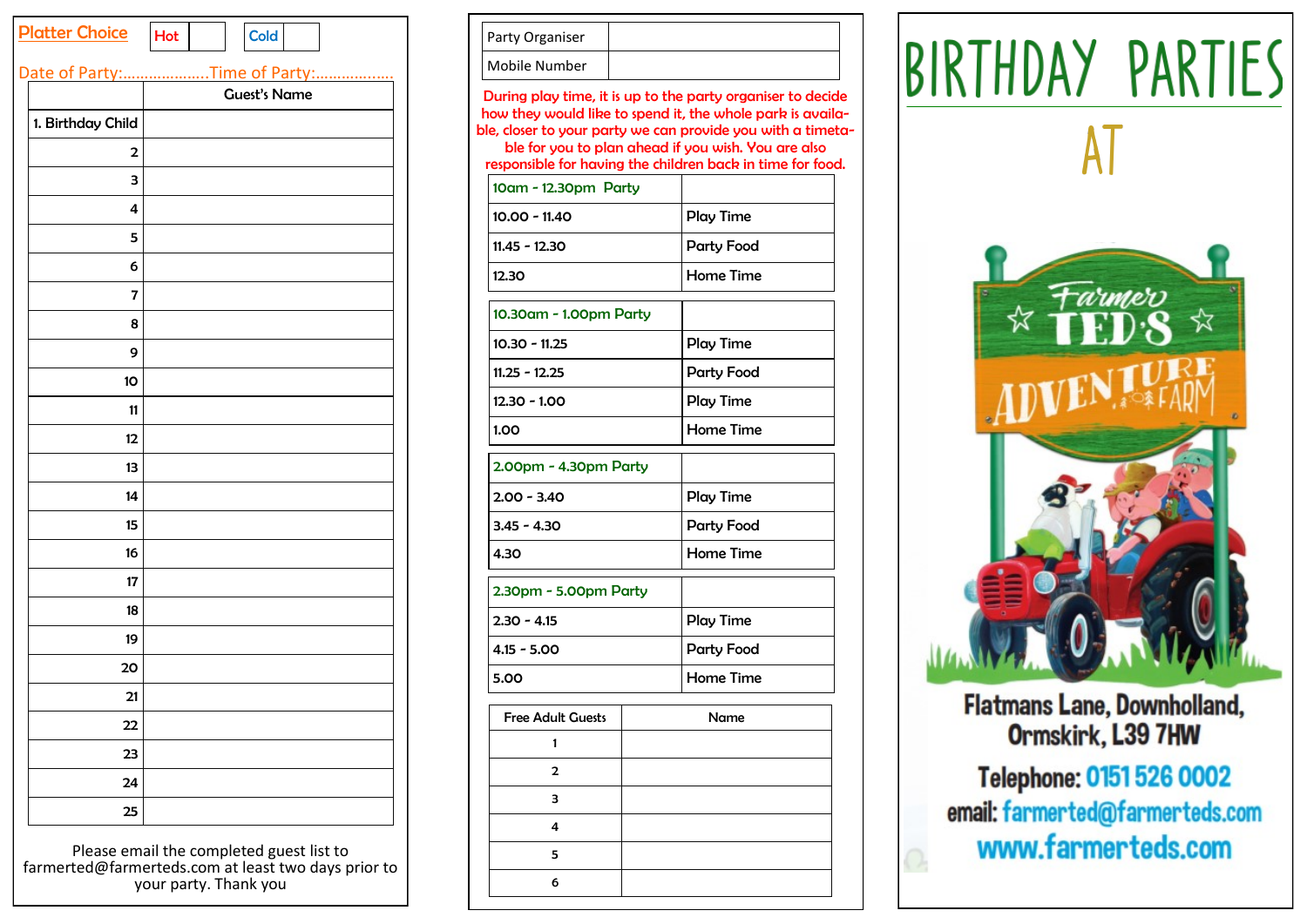| <b>Platter Choice</b>        | Hot                 |  |  | <b>Cold</b> |  |  |
|------------------------------|---------------------|--|--|-------------|--|--|
| Date of Party:Time of Party: |                     |  |  |             |  |  |
|                              | <b>Guest's Name</b> |  |  |             |  |  |
| 1. Birthday Child            |                     |  |  |             |  |  |
| 2                            |                     |  |  |             |  |  |
| З                            |                     |  |  |             |  |  |
| 4                            |                     |  |  |             |  |  |
| 5                            |                     |  |  |             |  |  |
| 6                            |                     |  |  |             |  |  |
| 7                            |                     |  |  |             |  |  |
| 8                            |                     |  |  |             |  |  |
| 9                            |                     |  |  |             |  |  |
| 10                           |                     |  |  |             |  |  |
| 11                           |                     |  |  |             |  |  |
| 12                           |                     |  |  |             |  |  |
| 13                           |                     |  |  |             |  |  |
| 14                           |                     |  |  |             |  |  |
| 15                           |                     |  |  |             |  |  |
| 16                           |                     |  |  |             |  |  |
| 17                           |                     |  |  |             |  |  |
| 18                           |                     |  |  |             |  |  |
| 19                           |                     |  |  |             |  |  |
| 20                           |                     |  |  |             |  |  |
| 21                           |                     |  |  |             |  |  |
| 22                           |                     |  |  |             |  |  |
| 23                           |                     |  |  |             |  |  |
| 24                           |                     |  |  |             |  |  |
| 25                           |                     |  |  |             |  |  |

Please email the completed guest list to farmerted@farmerteds.com at least two days prior to your party. Thank you

| Party Organiser |  |
|-----------------|--|
| Mobile Number   |  |

During play time, it is up to the party organiser to decide how they would like to spend it, the whole park is available, closer to your party we can provide you with a timetable for you to plan ahead if you wish. You are also responsible for having the children back in time for food.

| 10am - 12.30pm Party     |  |                   |  |
|--------------------------|--|-------------------|--|
| $10.00 - 11.40$          |  | Play Time         |  |
| $11.45 - 12.30$          |  | <b>Party Food</b> |  |
| 12.30                    |  | Home Time         |  |
| 10.30am - 1.00pm Party   |  |                   |  |
| $10.30 - 11.25$          |  | Play Time         |  |
| $11.25 - 12.25$          |  | <b>Party Food</b> |  |
| $12.30 - 1.00$           |  | Play Time         |  |
| 1.00                     |  | <b>Home Time</b>  |  |
| 2.00pm - 4.30pm Party    |  |                   |  |
| $2.00 - 3.40$            |  | Play Time         |  |
| $3.45 - 4.30$            |  | <b>Party Food</b> |  |
| 4.30                     |  | <b>Home Time</b>  |  |
| 2.30pm - 5.00pm Party    |  |                   |  |
| $2.30 - 4.15$            |  | Play Time         |  |
| $4.15 - 5.00$            |  | <b>Party Food</b> |  |
| 5.00                     |  | <b>Home Time</b>  |  |
| <b>Free Adult Guests</b> |  | Name              |  |
| 1                        |  |                   |  |
| $\overline{2}$           |  |                   |  |
| 3                        |  |                   |  |
| 4                        |  |                   |  |
| 5                        |  |                   |  |
| 6                        |  |                   |  |
|                          |  |                   |  |

BIRTHDAY PARTIES



**Flatmans Lane, Downholland,** Ormskirk, L39 7HW

Telephone: 0151 526 0002 email: farmerted@farmerteds.com www.farmerteds.com

 $\bigcirc$